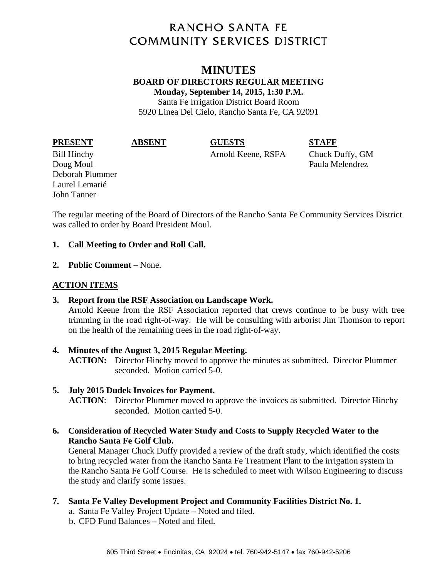# **RANCHO SANTA FE COMMUNITY SERVICES DISTRICT**

## **MINUTES BOARD OF DIRECTORS REGULAR MEETING Monday, September 14, 2015, 1:30 P.M.**

Santa Fe Irrigation District Board Room 5920 Linea Del Cielo, Rancho Santa Fe, CA 92091

**PRESENT ABSENT GUESTS STAFF** 

Doug Moul **Paula Melendrez** Deborah Plummer Laurel Lemarié John Tanner

Bill Hinchy Arnold Keene, RSFA Chuck Duffy, GM

The regular meeting of the Board of Directors of the Rancho Santa Fe Community Services District was called to order by Board President Moul.

### **1. Call Meeting to Order and Roll Call.**

**2. Public Comment** – None.

### **ACTION ITEMS**

**3. Report from the RSF Association on Landscape Work.** 

Arnold Keene from the RSF Association reported that crews continue to be busy with tree trimming in the road right-of-way. He will be consulting with arborist Jim Thomson to report on the health of the remaining trees in the road right-of-way.

**4. Minutes of the August 3, 2015 Regular Meeting. ACTION:** Director Hinchy moved to approve the minutes as submitted. Director Plummer seconded. Motion carried 5-0.

### **5. July 2015 Dudek Invoices for Payment.**

**ACTION**: Director Plummer moved to approve the invoices as submitted. Director Hinchy seconded. Motion carried 5-0.

**6. Consideration of Recycled Water Study and Costs to Supply Recycled Water to the Rancho Santa Fe Golf Club.** 

General Manager Chuck Duffy provided a review of the draft study, which identified the costs to bring recycled water from the Rancho Santa Fe Treatment Plant to the irrigation system in the Rancho Santa Fe Golf Course. He is scheduled to meet with Wilson Engineering to discuss the study and clarify some issues.

- **7. Santa Fe Valley Development Project and Community Facilities District No. 1.** 
	- a. Santa Fe Valley Project Update Noted and filed.
	- b. CFD Fund Balances Noted and filed.